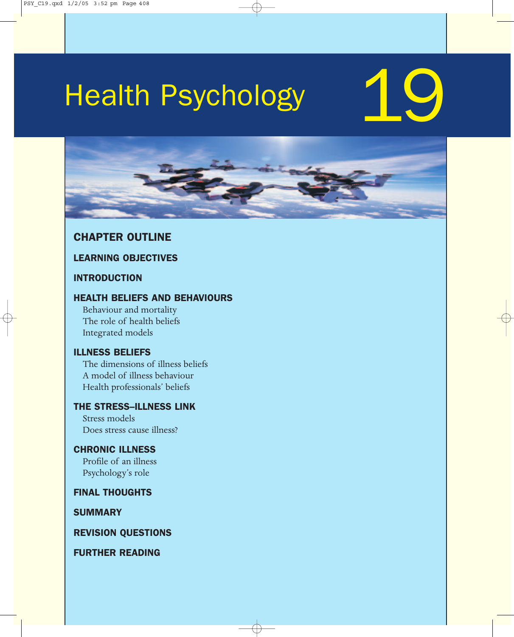# **Health Psychology**



## CHAPTER OUTLINE

LEARNING OBJECTIVES

## INTRODUCTION

## HEALTH BELIEFS AND BEHAVIOURS

Behaviour and mortality The role of health beliefs Integrated models

## ILLNESS BELIEFS

The dimensions of illness beliefs A model of illness behaviour Health professionals' beliefs

## THE STRESS–ILLNESS LINK

Stress models Does stress cause illness?

## CHRONIC ILLNESS

Profile of an illness Psychology's role

## FINAL THOUGHTS

**SUMMARY** 

## REVISION QUESTIONS

## FURTHER READING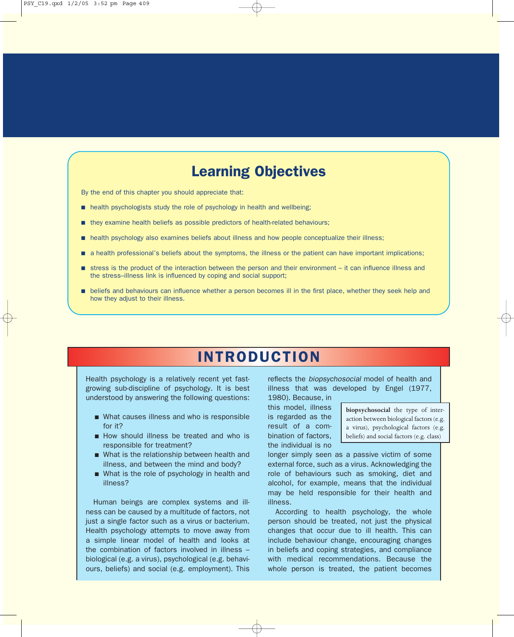## Learning Objectives

By the end of this chapter you should appreciate that:

- nealth psychologists study the role of psychology in health and wellbeing;
- they examine health beliefs as possible predictors of health-related behaviours;
- health psychology also examines beliefs about illness and how people conceptualize their illness;
- n a health professional's beliefs about the symptoms, the illness or the patient can have important implications;
- stress is the product of the interaction between the person and their environment it can influence illness and the stress–illness link is influenced by coping and social support;
- n beliefs and behaviours can influence whether a person becomes ill in the first place, whether they seek help and how they adjust to their illness.

## INTRODUCTION

Health psychology is a relatively recent yet fastgrowing sub-discipline of psychology. It is best understood by answering the following questions:

- $\blacksquare$  What causes illness and who is responsible for it?
- **n** How should illness be treated and who is responsible for treatment?
- What is the relationship between health and illness, and between the mind and body?
- What is the role of psychology in health and illness?

Human beings are complex systems and illness can be caused by a multitude of factors, not just a single factor such as a virus or bacterium. Health psychology attempts to move away from a simple linear model of health and looks at the combination of factors involved in illness – biological (e.g. a virus), psychological (e.g. behaviours, beliefs) and social (e.g. employment). This reflects the *biopsychosocial* model of health and illness that was developed by Engel (1977,

1980). Because, in this model, illness is regarded as the result of a combination of factors, the individual is no

**biopsychosocial** the type of interaction between biological factors (e.g. a virus), psychological factors (e.g. beliefs) and social factors (e.g. class)

longer simply seen as a passive victim of some external force, such as a virus. Acknowledging the role of behaviours such as smoking, diet and alcohol, for example, means that the individual may be held responsible for their health and illness.

According to health psychology, the whole person should be treated, not just the physical changes that occur due to ill health. This can include behaviour change, encouraging changes in beliefs and coping strategies, and compliance with medical recommendations. Because the whole person is treated, the patient becomes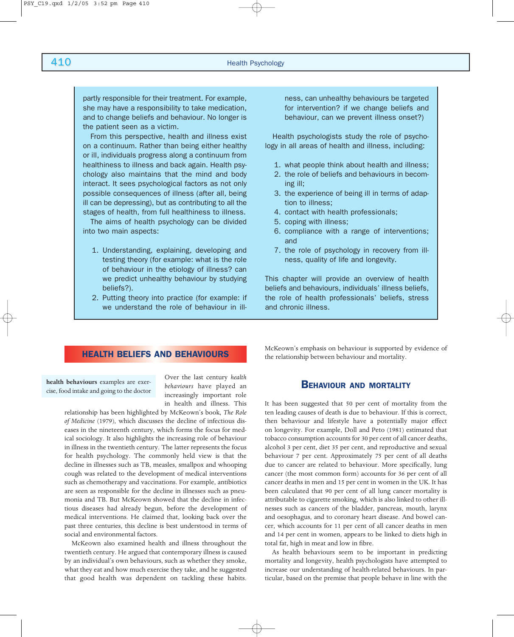partly responsible for their treatment. For example, she may have a responsibility to take medication, and to change beliefs and behaviour. No longer is the patient seen as a victim.

From this perspective, health and illness exist on a continuum. Rather than being either healthy or ill, individuals progress along a continuum from healthiness to illness and back again. Health psychology also maintains that the mind and body interact. It sees psychological factors as not only possible consequences of illness (after all, being ill can be depressing), but as contributing to all the stages of health, from full healthiness to illness.

The aims of health psychology can be divided into two main aspects:

- 1. Understanding, explaining, developing and testing theory (for example: what is the role of behaviour in the etiology of illness? can we predict unhealthy behaviour by studying beliefs?).
- 2. Putting theory into practice (for example: if we understand the role of behaviour in ill-

ness, can unhealthy behaviours be targeted for intervention? if we change beliefs and behaviour, can we prevent illness onset?)

Health psychologists study the role of psychology in all areas of health and illness, including:

- 1. what people think about health and illness;
- 2. the role of beliefs and behaviours in becoming ill;
- 3. the experience of being ill in terms of adaption to illness;
- 4. contact with health professionals;
- 5. coping with illness;
- 6. compliance with a range of interventions; and
- 7. the role of psychology in recovery from illness, quality of life and longevity.

This chapter will provide an overview of health beliefs and behaviours, individuals' illness beliefs, the role of health professionals' beliefs, stress and chronic illness.

## HEALTH BELIEFS AND BEHAVIOURS

**health behaviours** examples are exercise, food intake and going to the doctor Over the last century *health behaviours* have played an increasingly important role in health and illness. This

relationship has been highlighted by McKeown's book, *The Role of Medicine* (1979), which discusses the decline of infectious diseases in the nineteenth century, which forms the focus for medical sociology. It also highlights the increasing role of behaviour in illness in the twentieth century. The latter represents the focus for health psychology. The commonly held view is that the decline in illnesses such as TB, measles, smallpox and whooping cough was related to the development of medical interventions such as chemotherapy and vaccinations. For example, antibiotics are seen as responsible for the decline in illnesses such as pneumonia and TB. But McKeown showed that the decline in infectious diseases had already begun, before the development of medical interventions. He claimed that, looking back over the past three centuries, this decline is best understood in terms of social and environmental factors.

McKeown also examined health and illness throughout the twentieth century. He argued that contemporary illness is caused by an individual's own behaviours, such as whether they smoke, what they eat and how much exercise they take, and he suggested that good health was dependent on tackling these habits.

McKeown's emphasis on behaviour is supported by evidence of the relationship between behaviour and mortality.

## BEHAVIOUR AND MORTALITY

It has been suggested that 50 per cent of mortality from the ten leading causes of death is due to behaviour. If this is correct, then behaviour and lifestyle have a potentially major effect on longevity. For example, Doll and Peto (1981) estimated that tobacco consumption accounts for 30 per cent of all cancer deaths, alcohol 3 per cent, diet 35 per cent, and reproductive and sexual behaviour 7 per cent. Approximately 75 per cent of all deaths due to cancer are related to behaviour. More specifically, lung cancer (the most common form) accounts for 36 per cent of all cancer deaths in men and 15 per cent in women in the UK. It has been calculated that 90 per cent of all lung cancer mortality is attributable to cigarette smoking, which is also linked to other illnesses such as cancers of the bladder, pancreas, mouth, larynx and oesophagus, and to coronary heart disease. And bowel cancer, which accounts for 11 per cent of all cancer deaths in men and 14 per cent in women, appears to be linked to diets high in total fat, high in meat and low in fibre.

As health behaviours seem to be important in predicting mortality and longevity, health psychologists have attempted to increase our understanding of health-related behaviours. In particular, based on the premise that people behave in line with the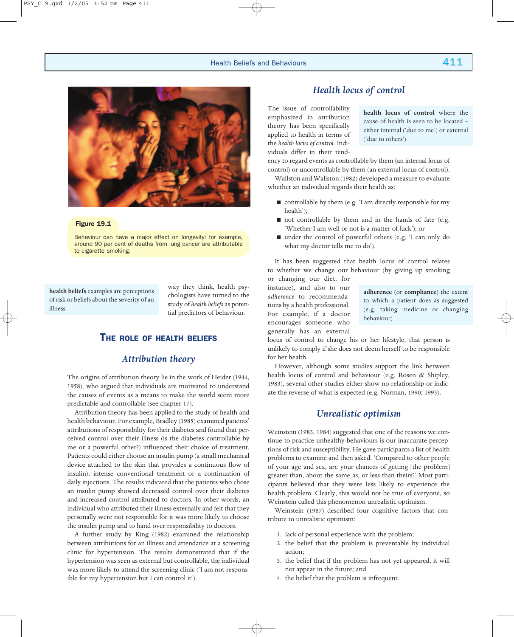

Behaviour can have a major effect on longevity: for example, around 90 per cent of deaths from lung cancer are attributable to cigarette smoking.

**health beliefs** examples are perceptions of risk or beliefs about the severity of an illness

way they think, health psychologists have turned to the study of *health beliefs* as potential predictors of behaviour.

## THE ROLE OF HEALTH BELIEFS

## *Attribution theory*

The origins of attribution theory lie in the work of Heider (1944, 1958), who argued that individuals are motivated to understand the causes of events as a means to make the world seem more predictable and controllable (see chapter 17).

Attribution theory has been applied to the study of health and health behaviour. For example, Bradley (1985) examined patients' attributions of responsibility for their diabetes and found that perceived control over their illness (is the diabetes controllable by me or a powerful other?) influenced their choice of treatment. Patients could either choose an insulin pump (a small mechanical device attached to the skin that provides a continuous flow of insulin), intense conventional treatment or a continuation of daily injections. The results indicated that the patients who chose an insulin pump showed decreased control over their diabetes and increased control attributed to doctors. In other words, an individual who attributed their illness externally and felt that they personally were not responsible for it was more likely to choose the insulin pump and to hand over responsibility to doctors.

A further study by King (1982) examined the relationship between attributions for an illness and attendance at a screening clinic for hypertension. The results demonstrated that if the hypertension was seen as external but controllable, the individual was more likely to attend the screening clinic ('I am not responsible for my hypertension but I can control it').

## *Health locus of control*

The issue of controllability emphasized in attribution theory has been specifically applied to health in terms of the *health locus of control*. Individuals differ in their tend-

**health locus of control** where the cause of health is seen to be located – either internal ('due to me') or external ('due to others')

ency to regard events as controllable by them (an internal locus of control) or uncontrollable by them (an external locus of control).

Wallston and Wallston (1982) developed a measure to evaluate whether an individual regards their health as:

- controllable by them (e.g. 'I am directly responsible for my health');
- $\blacksquare$  not controllable by them and in the hands of fate (e.g. 'Whether I am well or not is a matter of luck'); or
- $\blacksquare$  under the control of powerful others (e.g. 'I can only do what my doctor tells me to do').

It has been suggested that health locus of control relates to whether we change our behaviour (by giving up smoking

or changing our diet, for instance), and also to our *adherence* to recommendations by a health professional. For example, if a doctor encourages someone who generally has an external

**adherence (**or **compliance)** the extent to which a patient does as suggested (e.g. taking medicine or changing behaviour)

locus of control to change his or her lifestyle, that person is unlikely to comply if she does not deem herself to be responsible for her health.

However, although some studies support the link between health locus of control and behaviour (e.g. Rosen & Shipley, 1983), several other studies either show no relationship or indicate the reverse of what is expected (e.g. Norman, 1990; 1995).

## *Unrealistic optimism*

Weinstein (1983, 1984) suggested that one of the reasons we continue to practice unhealthy behaviours is our inaccurate perceptions of risk and susceptibility. He gave participants a list of health problems to examine and then asked: 'Compared to other people of your age and sex, are your chances of getting [the problem] greater than, about the same as, or less than theirs?' Most participants believed that they were less likely to experience the health problem. Clearly, this would not be true of everyone, so Weinstein called this phenomenon unrealistic optimism.

Weinstein (1987) described four cognitive factors that contribute to unrealistic optimism:

- 1. lack of personal experience with the problem;
- 2. the belief that the problem is preventable by individual action;
- 3. the belief that if the problem has not yet appeared, it will not appear in the future; and
- 4. the belief that the problem is infrequent.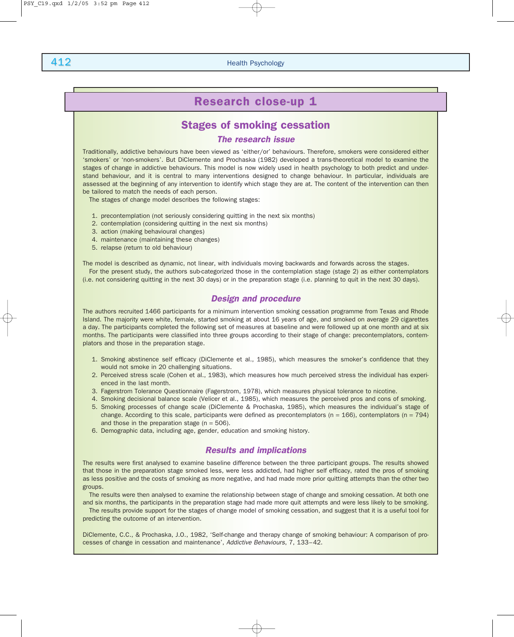## Research close-up 1

## Stages of smoking cessation

## *The research issue*

Traditionally, addictive behaviours have been viewed as 'either/or' behaviours. Therefore, smokers were considered either 'smokers' or 'non-smokers'. But DiClemente and Prochaska (1982) developed a trans-theoretical model to examine the stages of change in addictive behaviours. This model is now widely used in health psychology to both predict and understand behaviour, and it is central to many interventions designed to change behaviour. In particular, individuals are assessed at the beginning of any intervention to identify which stage they are at. The content of the intervention can then be tailored to match the needs of each person.

The stages of change model describes the following stages:

- 1. precontemplation (not seriously considering quitting in the next six months)
- 2. contemplation (considering quitting in the next six months)
- 3. action (making behavioural changes)
- 4. maintenance (maintaining these changes)
- 5. relapse (return to old behaviour)

The model is described as dynamic, not linear, with individuals moving backwards and forwards across the stages.

For the present study, the authors sub-categorized those in the contemplation stage (stage 2) as either contemplators (i.e. not considering quitting in the next 30 days) or in the preparation stage (i.e. planning to quit in the next 30 days).

## *Design and procedure*

The authors recruited 1466 participants for a minimum intervention smoking cessation programme from Texas and Rhode Island. The majority were white, female, started smoking at about 16 years of age, and smoked on average 29 cigarettes a day. The participants completed the following set of measures at baseline and were followed up at one month and at six months. The participants were classified into three groups according to their stage of change: precontemplators, contemplators and those in the preparation stage.

- 1. Smoking abstinence self efficacy (DiClemente et al., 1985), which measures the smoker's confidence that they would not smoke in 20 challenging situations.
- 2. Perceived stress scale (Cohen et al., 1983), which measures how much perceived stress the individual has experienced in the last month.
- 3. Fagerstrom Tolerance Questionnaire (Fagerstrom, 1978), which measures physical tolerance to nicotine.
- 4. Smoking decisional balance scale (Velicer et al., 1985), which measures the perceived pros and cons of smoking. 5. Smoking processes of change scale (DiClemente & Prochaska, 1985), which measures the individual's stage of
- change. According to this scale, participants were defined as precontemplators ( $n = 166$ ), contemplators ( $n = 794$ ) and those in the preparation stage  $(n = 506)$ .
- 6. Demographic data, including age, gender, education and smoking history.

## *Results and implications*

The results were first analysed to examine baseline difference between the three participant groups. The results showed that those in the preparation stage smoked less, were less addicted, had higher self efficacy, rated the pros of smoking as less positive and the costs of smoking as more negative, and had made more prior quitting attempts than the other two groups.

The results were then analysed to examine the relationship between stage of change and smoking cessation. At both one and six months, the participants in the preparation stage had made more quit attempts and were less likely to be smoking.

The results provide support for the stages of change model of smoking cessation, and suggest that it is a useful tool for predicting the outcome of an intervention.

DiClemente, C.C., & Prochaska, J.O., 1982, 'Self-change and therapy change of smoking behaviour: A comparison of processes of change in cessation and maintenance', *Addictive Behaviours*, 7, 133–42.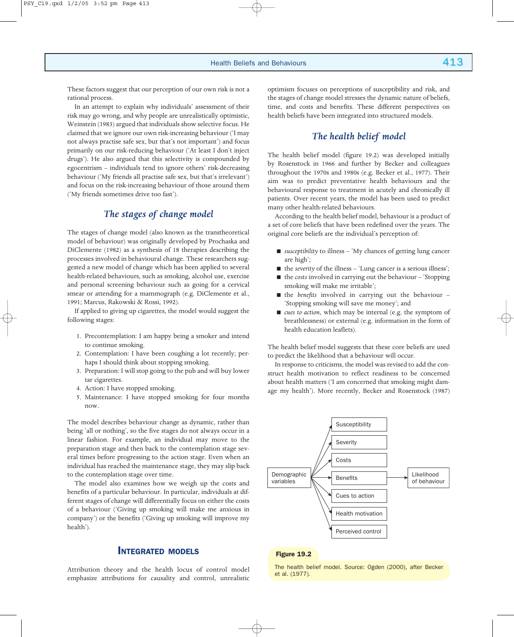These factors suggest that our perception of our own risk is not a rational process.

In an attempt to explain why individuals' assessment of their risk may go wrong, and why people are unrealistically optimistic, Weinstein (1983) argued that individuals show selective focus. He claimed that we ignore our own risk-increasing behaviour ('I may not always practise safe sex, but that's not important') and focus primarily on our risk-reducing behaviour ('At least I don't inject drugs'). He also argued that this selectivity is compounded by egocentrism – individuals tend to ignore others' risk-decreasing behaviour ('My friends all practise safe sex, but that's irrelevant') and focus on the risk-increasing behaviour of those around them ('My friends sometimes drive too fast').

## *The stages of change model*

The stages of change model (also known as the transtheoretical model of behaviour) was originally developed by Prochaska and DiClemente (1982) as a synthesis of 18 therapies describing the processes involved in behavioural change. These researchers suggested a new model of change which has been applied to several health-related behaviours, such as smoking, alcohol use, exercise and personal screening behaviour such as going for a cervical smear or attending for a mammograph (e.g. DiClemente et al., 1991; Marcus, Rakowski & Rossi, 1992).

If applied to giving up cigarettes, the model would suggest the following stages:

- 1. Precontemplation: I am happy being a smoker and intend to continue smoking.
- 2. Contemplation: I have been coughing a lot recently; perhaps I should think about stopping smoking.
- 3. Preparation: I will stop going to the pub and will buy lower tar cigarettes.
- 4. Action: I have stopped smoking.
- 5. Maintenance: I have stopped smoking for four months now.

The model describes behaviour change as dynamic, rather than being 'all or nothing', so the five stages do not always occur in a linear fashion. For example, an individual may move to the preparation stage and then back to the contemplation stage several times before progressing to the action stage. Even when an individual has reached the maintenance stage, they may slip back to the contemplation stage over time.

The model also examines how we weigh up the costs and benefits of a particular behaviour. In particular, individuals at different stages of change will differentially focus on either the costs of a behaviour ('Giving up smoking will make me anxious in company') or the benefits ('Giving up smoking will improve my health').

## INTEGRATED MODELS

Attribution theory and the health locus of control model emphasize attributions for causality and control, unrealistic optimism focuses on perceptions of susceptibility and risk, and the stages of change model stresses the dynamic nature of beliefs, time, and costs and benefits. These different perspectives on health beliefs have been integrated into structured models.

## *The health belief model*

The health belief model (figure 19.2) was developed initially by Rosenstock in 1966 and further by Becker and colleagues throughout the 1970s and 1980s (e.g. Becker et al., 1977). Their aim was to predict preventative health behaviours and the behavioural response to treatment in acutely and chronically ill patients. Over recent years, the model has been used to predict many other health-related behaviours.

According to the health belief model, behaviour is a product of a set of core beliefs that have been redefined over the years. The original core beliefs are the individual's perception of:

- *susceptibility* to illness 'My chances of getting lung cancer are high';
- the *severity* of the illness 'Lung cancer is a serious illness';
- the *costs* involved in carrying out the behaviour 'Stopping smoking will make me irritable';
- the *benefits* involved in carrying out the behaviour 'Stopping smoking will save me money'; and
- *cues to action*, which may be internal (e.g. the symptom of breathlessness) or external (e.g. information in the form of health education leaflets).

The health belief model suggests that these core beliefs are used to predict the likelihood that a behaviour will occur.

In response to criticisms, the model was revised to add the construct health motivation to reflect readiness to be concerned about health matters ('I am concerned that smoking might damage my health'). More recently, Becker and Rosenstock (1987)



### Figure 19.2

The health belief model. Source: Ogden (2000), after Becker et al. (1977).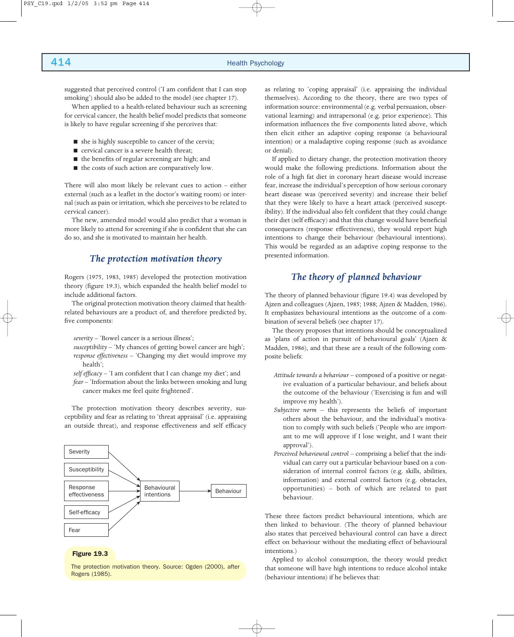suggested that perceived control ('I am confident that I can stop smoking') should also be added to the model (see chapter 17).

When applied to a health-related behaviour such as screening for cervical cancer, the health belief model predicts that someone is likely to have regular screening if she perceives that:

- $\blacksquare$  she is highly susceptible to cancer of the cervix;
- $\blacksquare$  cervical cancer is a severe health threat:
- $\blacksquare$  the benefits of regular screening are high; and
- $\blacksquare$  the costs of such action are comparatively low.

There will also most likely be relevant cues to action – either external (such as a leaflet in the doctor's waiting room) or internal (such as pain or irritation, which she perceives to be related to cervical cancer).

The new, amended model would also predict that a woman is more likely to attend for screening if she is confident that she can do so, and she is motivated to maintain her health.

## *The protection motivation theory*

Rogers (1975, 1983, 1985) developed the protection motivation theory (figure 19.3), which expanded the health belief model to include additional factors.

The original protection motivation theory claimed that healthrelated behaviours are a product of, and therefore predicted by, five components:

*severity* – 'Bowel cancer is a serious illness';

*susceptibility* – 'My chances of getting bowel cancer are high'; *response effectiveness* – 'Changing my diet would improve my health';

*self efficacy* – 'I am confident that I can change my diet'; and *fear* – 'Information about the links between smoking and lung cancer makes me feel quite frightened'.

The protection motivation theory describes severity, susceptibility and fear as relating to 'threat appraisal' (i.e. appraising an outside threat), and response effectiveness and self efficacy



## Figure 19.3

The protection motivation theory. Source: Ogden (2000), after Rogers (1985).

as relating to 'coping appraisal' (i.e. appraising the individual themselves). According to the theory, there are two types of information source: environmental (e.g. verbal persuasion, observational learning) and intrapersonal (e.g. prior experience). This information influences the five components listed above, which then elicit either an adaptive coping response (a behavioural intention) or a maladaptive coping response (such as avoidance or denial).

If applied to dietary change, the protection motivation theory would make the following predictions. Information about the role of a high fat diet in coronary heart disease would increase fear, increase the individual's perception of how serious coronary heart disease was (perceived severity) and increase their belief that they were likely to have a heart attack (perceived susceptibility). If the individual also felt confident that they could change their diet (self efficacy) and that this change would have beneficial consequences (response effectiveness), they would report high intentions to change their behaviour (behavioural intentions). This would be regarded as an adaptive coping response to the presented information.

## *The theory of planned behaviour*

The theory of planned behaviour (figure 19.4) was developed by Ajzen and colleagues (Ajzen, 1985; 1988; Ajzen & Madden, 1986). It emphasizes behavioural intentions as the outcome of a combination of several beliefs (see chapter 17).

The theory proposes that intentions should be conceptualized as 'plans of action in pursuit of behavioural goals' (Ajzen & Madden, 1986), and that these are a result of the following composite beliefs:

- *Attitude towards a behaviour* composed of a positive or negative evaluation of a particular behaviour, and beliefs about the outcome of the behaviour ('Exercising is fun and will improve my health').
- *Subjective norm* this represents the beliefs of important others about the behaviour, and the individual's motivation to comply with such beliefs ('People who are important to me will approve if I lose weight, and I want their approval').
- *Perceived behavioural control* comprising a belief that the individual can carry out a particular behaviour based on a consideration of internal control factors (e.g. skills, abilities, information) and external control factors (e.g. obstacles, opportunities) – both of which are related to past behaviour.

These three factors predict behavioural intentions, which are then linked to behaviour. (The theory of planned behaviour also states that perceived behavioural control can have a direct effect on behaviour without the mediating effect of behavioural intentions.)

Applied to alcohol consumption, the theory would predict that someone will have high intentions to reduce alcohol intake (behaviour intentions) if he believes that: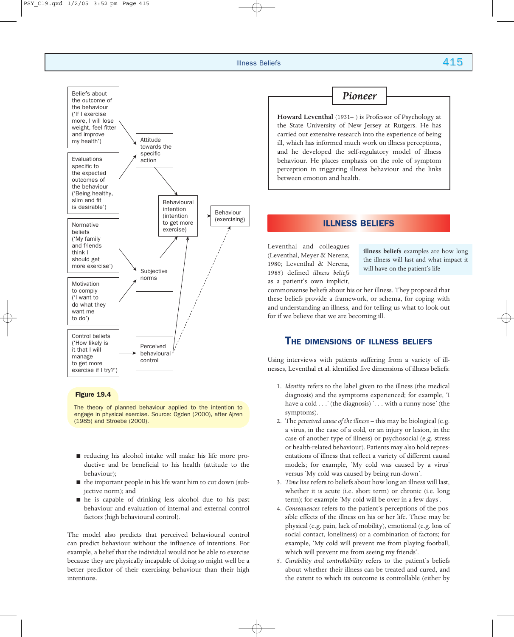

The theory of planned behaviour applied to the intention to engage in physical exercise. Source: Ogden (2000), after Ajzen (1985) and Stroebe (2000).

- n reducing his alcohol intake will make his life more productive and be beneficial to his health (attitude to the behaviour);
- $\blacksquare$  the important people in his life want him to cut down (subjective norm); and
- n he is capable of drinking less alcohol due to his past behaviour and evaluation of internal and external control factors (high behavioural control).

The model also predicts that perceived behavioural control can predict behaviour without the influence of intentions. For example, a belief that the individual would not be able to exercise because they are physically incapable of doing so might well be a better predictor of their exercising behaviour than their high intentions.

*Pioneer*

**Howard Leventhal** (1931– ) is Professor of Psychology at the State University of New Jersey at Rutgers. He has carried out extensive research into the experience of being ill, which has informed much work on illness perceptions, and he developed the self-regulatory model of illness behaviour. He places emphasis on the role of symptom perception in triggering illness behaviour and the links between emotion and health.

## ILLNESS BELIEFS

Leventhal and colleagues (Leventhal, Meyer & Nerenz, 1980; Leventhal & Nerenz, 1985) defined *illness beliefs* as a patient's own implicit,

**illness beliefs** examples are how long the illness will last and what impact it will have on the patient's life

commonsense beliefs about his or her illness. They proposed that these beliefs provide a framework, or schema, for coping with and understanding an illness, and for telling us what to look out for if we believe that we are becoming ill.

## THE DIMENSIONS OF ILLNESS BELIEFS

Using interviews with patients suffering from a variety of illnesses, Leventhal et al. identified five dimensions of illness beliefs:

- 1. *Identity* refers to the label given to the illness (the medical diagnosis) and the symptoms experienced; for example, 'I have a cold . . .' (the diagnosis) '. . . with a runny nose' (the symptoms).
- 2. The *perceived cause of the illness* this may be biological (e.g. a virus, in the case of a cold, or an injury or lesion, in the case of another type of illness) or psychosocial (e.g. stress or health-related behaviour). Patients may also hold representations of illness that reflect a variety of different causal models; for example, 'My cold was caused by a virus' versus 'My cold was caused by being run-down'.
- 3. *Time line* refers to beliefs about how long an illness will last, whether it is acute (i.e. short term) or chronic (i.e. long term); for example 'My cold will be over in a few days'.
- 4. *Consequences* refers to the patient's perceptions of the possible effects of the illness on his or her life. These may be physical (e.g. pain, lack of mobility), emotional (e.g. loss of social contact, loneliness) or a combination of factors; for example, 'My cold will prevent me from playing football, which will prevent me from seeing my friends'.
- 5. *Curability and controllability* refers to the patient's beliefs about whether their illness can be treated and cured, and the extent to which its outcome is controllable (either by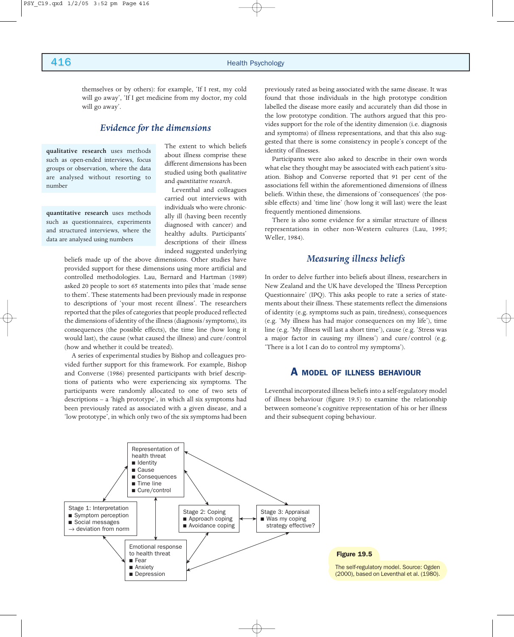themselves or by others): for example, 'If I rest, my cold will go away', 'If I get medicine from my doctor, my cold will go away'.

## *Evidence for the dimensions*

**qualitative research** uses methods such as open-ended interviews, focus groups or observation, where the data are analysed without resorting to number

**quantitative research** uses methods such as questionnaires, experiments and structured interviews, where the data are analysed using numbers

The extent to which beliefs about illness comprise these different dimensions has been studied using both *qualitative* and *quantitative research*.

Leventhal and colleagues carried out interviews with individuals who were chronically ill (having been recently diagnosed with cancer) and healthy adults. Participants' descriptions of their illness indeed suggested underlying

beliefs made up of the above dimensions. Other studies have provided support for these dimensions using more artificial and controlled methodologies. Lau, Bernard and Hartman (1989) asked 20 people to sort 65 statements into piles that 'made sense to them'. These statements had been previously made in response to descriptions of 'your most recent illness'. The researchers reported that the piles of categories that people produced reflected the dimensions of identity of the illness (diagnosis/symptoms), its consequences (the possible effects), the time line (how long it would last), the cause (what caused the illness) and cure/control (how and whether it could be treated).

A series of experimental studies by Bishop and colleagues provided further support for this framework. For example, Bishop and Converse (1986) presented participants with brief descriptions of patients who were experiencing six symptoms. The participants were randomly allocated to one of two sets of descriptions – a 'high prototype', in which all six symptoms had been previously rated as associated with a given disease, and a 'low prototype', in which only two of the six symptoms had been

previously rated as being associated with the same disease. It was found that those individuals in the high prototype condition labelled the disease more easily and accurately than did those in the low prototype condition. The authors argued that this provides support for the role of the identity dimension (i.e. diagnosis and symptoms) of illness representations, and that this also suggested that there is some consistency in people's concept of the identity of illnesses.

Participants were also asked to describe in their own words what else they thought may be associated with each patient's situation. Bishop and Converse reported that 91 per cent of the associations fell within the aforementioned dimensions of illness beliefs. Within these, the dimensions of 'consequences' (the possible effects) and 'time line' (how long it will last) were the least frequently mentioned dimensions.

There is also some evidence for a similar structure of illness representations in other non-Western cultures (Lau, 1995; Weller, 1984).

## *Measuring illness beliefs*

In order to delve further into beliefs about illness, researchers in New Zealand and the UK have developed the 'Illness Perception Questionnaire' (IPQ). This asks people to rate a series of statements about their illness. These statements reflect the dimensions of identity (e.g. symptoms such as pain, tiredness), consequences (e.g. 'My illness has had major consequences on my life'), time line (e.g. 'My illness will last a short time'), cause (e.g. 'Stress was a major factor in causing my illness') and cure/control (e.g. 'There is a lot I can do to control my symptoms').

## A MODEL OF ILLNESS BEHAVIOUR

Leventhal incorporated illness beliefs into a self-regulatory model of illness behaviour (figure 19.5) to examine the relationship between someone's cognitive representation of his or her illness and their subsequent coping behaviour.



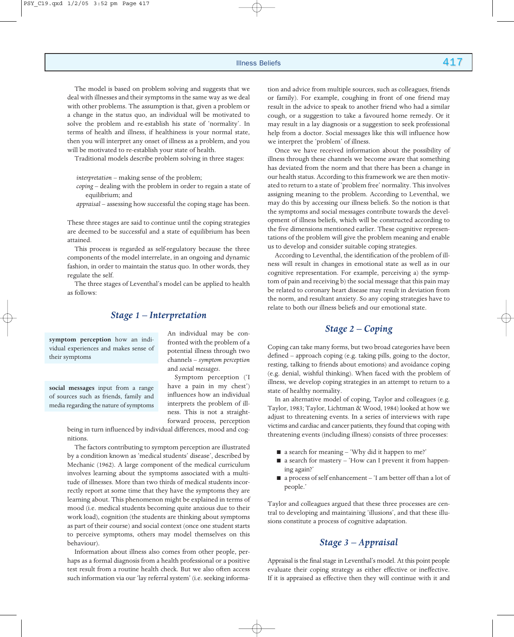The model is based on problem solving and suggests that we deal with illnesses and their symptoms in the same way as we deal with other problems. The assumption is that, given a problem or a change in the status quo, an individual will be motivated to solve the problem and re-establish his state of 'normality'. In terms of health and illness, if healthiness is your normal state, then you will interpret any onset of illness as a problem, and you will be motivated to re-establish your state of health.

Traditional models describe problem solving in three stages:

*interpretation* – making sense of the problem;

*coping* – dealing with the problem in order to regain a state of equilibrium; and

*appraisal* – assessing how successful the coping stage has been.

These three stages are said to continue until the coping strategies are deemed to be successful and a state of equilibrium has been attained.

This process is regarded as self-regulatory because the three components of the model interrelate, in an ongoing and dynamic fashion, in order to maintain the status quo. In other words, they regulate the self.

The three stages of Leventhal's model can be applied to health as follows:

## *Stage 1 – Interpretation*

**symptom perception** how an individual experiences and makes sense of their symptoms

**social messages** input from a range of sources such as friends, family and media regarding the nature of symptoms An individual may be confronted with the problem of a potential illness through two channels – *symptom perception* and *social messages*.

Symptom perception ('I have a pain in my chest') influences how an individual interprets the problem of illness. This is not a straightforward process, perception

being in turn influenced by individual differences, mood and cognitions.

The factors contributing to symptom perception are illustrated by a condition known as 'medical students' disease', described by Mechanic (1962). A large component of the medical curriculum involves learning about the symptoms associated with a multitude of illnesses. More than two thirds of medical students incorrectly report at some time that they have the symptoms they are learning about. This phenomenon might be explained in terms of mood (i.e. medical students becoming quite anxious due to their work load), cognition (the students are thinking about symptoms as part of their course) and social context (once one student starts to perceive symptoms, others may model themselves on this behaviour).

Information about illness also comes from other people, perhaps as a formal diagnosis from a health professional or a positive test result from a routine health check. But we also often access such information via our 'lay referral system' (i.e. seeking information and advice from multiple sources, such as colleagues, friends or family). For example, coughing in front of one friend may result in the advice to speak to another friend who had a similar cough, or a suggestion to take a favoured home remedy. Or it may result in a lay diagnosis or a suggestion to seek professional help from a doctor. Social messages like this will influence how we interpret the 'problem' of illness.

Once we have received information about the possibility of illness through these channels we become aware that something has deviated from the norm and that there has been a change in our health status. According to this framework we are then motivated to return to a state of 'problem free' normality. This involves assigning meaning to the problem. According to Leventhal, we may do this by accessing our illness beliefs. So the notion is that the symptoms and social messages contribute towards the development of illness beliefs, which will be constructed according to the five dimensions mentioned earlier. These cognitive representations of the problem will give the problem meaning and enable us to develop and consider suitable coping strategies.

According to Leventhal, the identification of the problem of illness will result in changes in emotional state as well as in our cognitive representation. For example, perceiving a) the symptom of pain and receiving b) the social message that this pain may be related to coronary heart disease may result in deviation from the norm, and resultant anxiety. So any coping strategies have to relate to both our illness beliefs and our emotional state.

## *Stage 2 – Coping*

Coping can take many forms, but two broad categories have been defined – approach coping (e.g. taking pills, going to the doctor, resting, talking to friends about emotions) and avoidance coping (e.g. denial, wishful thinking). When faced with the problem of illness, we develop coping strategies in an attempt to return to a state of healthy normality.

In an alternative model of coping, Taylor and colleagues (e.g. Taylor, 1983; Taylor, Lichtman & Wood, 1984) looked at how we adjust to threatening events. In a series of interviews with rape victims and cardiac and cancer patients, they found that coping with threatening events (including illness) consists of three processes:

- a search for meaning 'Why did it happen to me?'
- a search for mastery 'How can I prevent it from happening again?'
- n a process of self enhancement 'I am better off than a lot of people.'

Taylor and colleagues argued that these three processes are central to developing and maintaining 'illusions', and that these illusions constitute a process of cognitive adaptation.

## *Stage 3 – Appraisal*

Appraisal is the final stage in Leventhal's model. At this point people evaluate their coping strategy as either effective or ineffective. If it is appraised as effective then they will continue with it and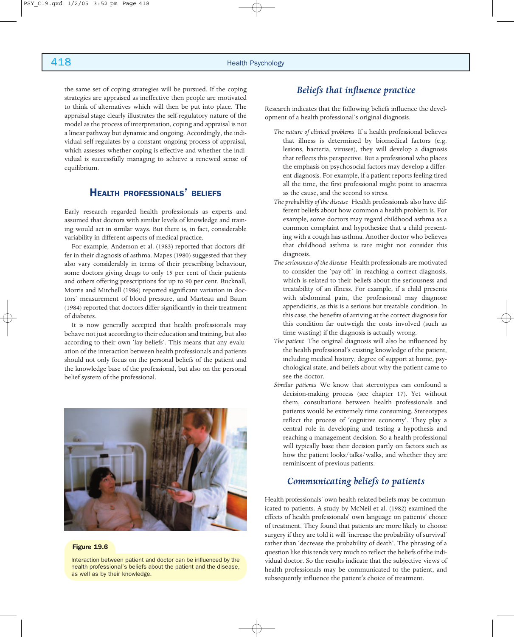the same set of coping strategies will be pursued. If the coping strategies are appraised as ineffective then people are motivated to think of alternatives which will then be put into place. The appraisal stage clearly illustrates the self-regulatory nature of the model as the process of interpretation, coping and appraisal is not a linear pathway but dynamic and ongoing. Accordingly, the individual self-regulates by a constant ongoing process of appraisal, which assesses whether coping is effective and whether the individual is successfully managing to achieve a renewed sense of equilibrium.

## HEALTH PROFESSIONALS<sup>'</sup> BELIFES

Early research regarded health professionals as experts and assumed that doctors with similar levels of knowledge and training would act in similar ways. But there is, in fact, considerable variability in different aspects of medical practice.

For example, Anderson et al. (1983) reported that doctors differ in their diagnosis of asthma. Mapes (1980) suggested that they also vary considerably in terms of their prescribing behaviour, some doctors giving drugs to only 15 per cent of their patients and others offering prescriptions for up to 90 per cent. Bucknall, Morris and Mitchell (1986) reported significant variation in doctors' measurement of blood pressure, and Marteau and Baum (1984) reported that doctors differ significantly in their treatment of diabetes.

It is now generally accepted that health professionals may behave not just according to their education and training, but also according to their own 'lay beliefs'. This means that any evaluation of the interaction between health professionals and patients should not only focus on the personal beliefs of the patient and the knowledge base of the professional, but also on the personal belief system of the professional.



### Figure 19.6

Interaction between patient and doctor can be influenced by the health professional's beliefs about the patient and the disease, as well as by their knowledge.

## *Beliefs that influence practice*

Research indicates that the following beliefs influence the development of a health professional's original diagnosis.

- *The nature of clinical problems* If a health professional believes that illness is determined by biomedical factors (e.g. lesions, bacteria, viruses), they will develop a diagnosis that reflects this perspective. But a professional who places the emphasis on psychosocial factors may develop a different diagnosis. For example, if a patient reports feeling tired all the time, the first professional might point to anaemia as the cause, and the second to stress.
- *The probability of the disease* Health professionals also have different beliefs about how common a health problem is. For example, some doctors may regard childhood asthma as a common complaint and hypothesize that a child presenting with a cough has asthma. Another doctor who believes that childhood asthma is rare might not consider this diagnosis.
- *The seriousness of the disease* Health professionals are motivated to consider the 'pay-off' in reaching a correct diagnosis, which is related to their beliefs about the seriousness and treatability of an illness. For example, if a child presents with abdominal pain, the professional may diagnose appendicitis, as this is a serious but treatable condition. In this case, the benefits of arriving at the correct diagnosis for this condition far outweigh the costs involved (such as time wasting) if the diagnosis is actually wrong.
- *The patient* The original diagnosis will also be influenced by the health professional's existing knowledge of the patient, including medical history, degree of support at home, psychological state, and beliefs about why the patient came to see the doctor.
- *Similar patients* We know that stereotypes can confound a decision-making process (see chapter 17). Yet without them, consultations between health professionals and patients would be extremely time consuming. Stereotypes reflect the process of 'cognitive economy'. They play a central role in developing and testing a hypothesis and reaching a management decision. So a health professional will typically base their decision partly on factors such as how the patient looks/talks/walks, and whether they are reminiscent of previous patients.

## *Communicating beliefs to patients*

Health professionals' own health-related beliefs may be communicated to patients. A study by McNeil et al. (1982) examined the effects of health professionals' own language on patients' choice of treatment. They found that patients are more likely to choose surgery if they are told it will 'increase the probability of survival' rather than 'decrease the probability of death'. The phrasing of a question like this tends very much to reflect the beliefs of the individual doctor. So the results indicate that the subjective views of health professionals may be communicated to the patient, and subsequently influence the patient's choice of treatment.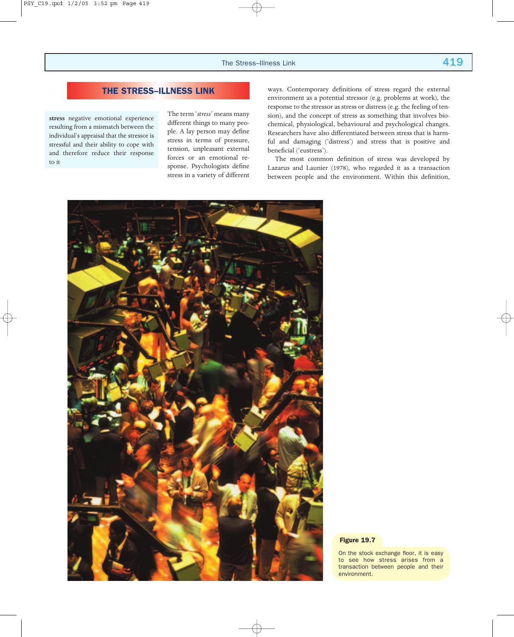**stress** negative emotional experience resulting from a mismatch between the individual's appraisal that the stressor is stressful and their ability to cope with and therefore reduce their response to it

The term '*stress*' means many different things to many people. A lay person may define stress in terms of pressure, tension, unpleasant external forces or an emotional response. Psychologists define stress in a variety of different

THE STRESS-ILLNESS LINK ways. Contemporary definitions of stress regard the external environment as a potential stressor (e.g. problems at work), the response to the stressor as stress or distress (e.g. the feeling of tension), and the concept of stress as something that involves biochemical, physiological, behavioural and psychological changes. Researchers have also differentiated between stress that is harmful and damaging ('distress') and stress that is positive and beneficial ('eustress').

> The most common definition of stress was developed by Lazarus and Launier (1978), who regarded it as a transaction between people and the environment. Within this definition,



## Figure 19.7

On the stock exchange floor, it is easy to see how stress arises from a transaction between people and their environment.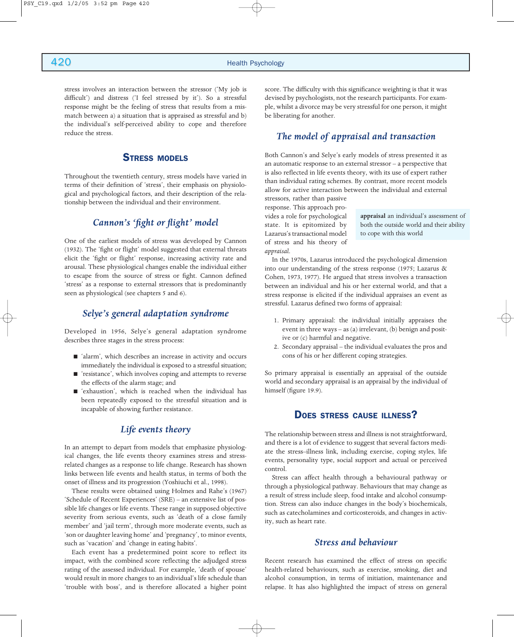stress involves an interaction between the stressor ('My job is difficult') and distress ('I feel stressed by it'). So a stressful response might be the feeling of stress that results from a mismatch between a) a situation that is appraised as stressful and b) the individual's self-perceived ability to cope and therefore reduce the stress.

## STRESS MODELS

Throughout the twentieth century, stress models have varied in terms of their definition of 'stress', their emphasis on physiological and psychological factors, and their description of the relationship between the individual and their environment.

## *Cannon's 'fight or flight' model*

One of the earliest models of stress was developed by Cannon (1932). The 'fight or flight' model suggested that external threats elicit the 'fight or flight' response, increasing activity rate and arousal. These physiological changes enable the individual either to escape from the source of stress or fight. Cannon defined 'stress' as a response to external stressors that is predominantly seen as physiological (see chapters 5 and 6).

## *Selye's general adaptation syndrome*

Developed in 1956, Selye's general adaptation syndrome describes three stages in the stress process:

- n 'alarm', which describes an increase in activity and occurs immediately the individual is exposed to a stressful situation;
- 'resistance', which involves coping and attempts to reverse the effects of the alarm stage; and
- n 'exhaustion', which is reached when the individual has been repeatedly exposed to the stressful situation and is incapable of showing further resistance.

## *Life events theory*

In an attempt to depart from models that emphasize physiological changes, the life events theory examines stress and stressrelated changes as a response to life change. Research has shown links between life events and health status, in terms of both the onset of illness and its progression (Yoshiuchi et al., 1998).

These results were obtained using Holmes and Rahe's (1967) 'Schedule of Recent Experiences' (SRE) – an extensive list of possible life changes or life events. These range in supposed objective severity from serious events, such as 'death of a close family member' and 'jail term', through more moderate events, such as 'son or daughter leaving home' and 'pregnancy', to minor events, such as 'vacation' and 'change in eating habits'.

Each event has a predetermined point score to reflect its impact, with the combined score reflecting the adjudged stress rating of the assessed individual. For example, 'death of spouse' would result in more changes to an individual's life schedule than 'trouble with boss', and is therefore allocated a higher point score. The difficulty with this significance weighting is that it was devised by psychologists, not the research participants. For example, whilst a divorce may be very stressful for one person, it might be liberating for another.

## *The model of appraisal and transaction*

Both Cannon's and Selye's early models of stress presented it as an automatic response to an external stressor – a perspective that is also reflected in life events theory, with its use of expert rather than individual rating schemes. By contrast, more recent models allow for active interaction between the individual and external stressors, rather than passive

response. This approach provides a role for psychological state. It is epitomized by Lazarus's transactional model of stress and his theory of *appraisal*.

**appraisal** an individual's assessment of both the outside world and their ability to cope with this world

In the 1970s, Lazarus introduced the psychological dimension into our understanding of the stress response (1975; Lazarus & Cohen, 1973, 1977). He argued that stress involves a transaction between an individual and his or her external world, and that a stress response is elicited if the individual appraises an event as stressful. Lazarus defined two forms of appraisal:

- 1. Primary appraisal: the individual initially appraises the event in three ways – as (a) irrelevant, (b) benign and positive or (c) harmful and negative.
- 2. Secondary appraisal the individual evaluates the pros and cons of his or her different coping strategies.

So primary appraisal is essentially an appraisal of the outside world and secondary appraisal is an appraisal by the individual of himself (figure 19.9).

## DOES STRESS CAUSE ILLNESS?

The relationship between stress and illness is not straightforward, and there is a lot of evidence to suggest that several factors mediate the stress–illness link, including exercise, coping styles, life events, personality type, social support and actual or perceived control.

Stress can affect health through a behavioural pathway or through a physiological pathway. Behaviours that may change as a result of stress include sleep, food intake and alcohol consumption. Stress can also induce changes in the body's biochemicals, such as catecholamines and corticosteroids, and changes in activity, such as heart rate.

## *Stress and behaviour*

Recent research has examined the effect of stress on specific health-related behaviours, such as exercise, smoking, diet and alcohol consumption, in terms of initiation, maintenance and relapse. It has also highlighted the impact of stress on general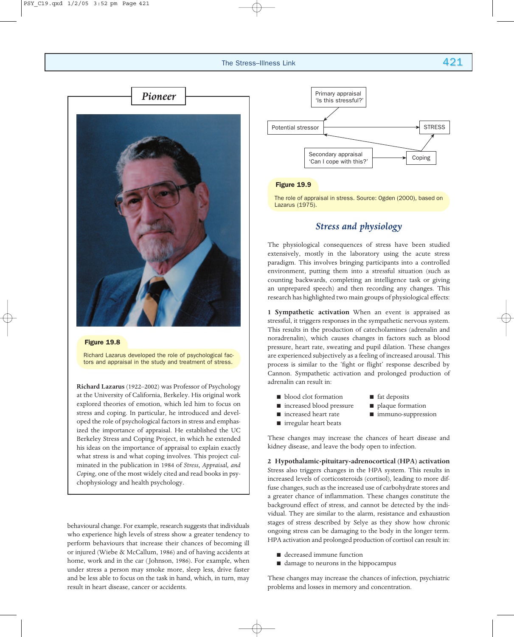

Richard Lazarus developed the role of psychological factors and appraisal in the study and treatment of stress.

**Richard Lazarus** (1922–2002) was Professor of Psychology at the University of California, Berkeley. His original work explored theories of emotion, which led him to focus on stress and coping. In particular, he introduced and developed the role of psychological factors in stress and emphasized the importance of appraisal. He established the UC Berkeley Stress and Coping Project, in which he extended his ideas on the importance of appraisal to explain exactly what stress is and what coping involves. This project culminated in the publication in 1984 of *Stress, Appraisal, and Coping*, one of the most widely cited and read books in psychophysiology and health psychology.

behavioural change. For example, research suggests that individuals who experience high levels of stress show a greater tendency to perform behaviours that increase their chances of becoming ill or injured (Wiebe & McCallum, 1986) and of having accidents at home, work and in the car (Johnson, 1986). For example, when under stress a person may smoke more, sleep less, drive faster and be less able to focus on the task in hand, which, in turn, may result in heart disease, cancer or accidents.



### Figure 19.9

The role of appraisal in stress. Source: Ogden (2000), based on Lazarus (1975).

## *Stress and physiology*

The physiological consequences of stress have been studied extensively, mostly in the laboratory using the acute stress paradigm. This involves bringing participants into a controlled environment, putting them into a stressful situation (such as counting backwards, completing an intelligence task or giving an unprepared speech) and then recording any changes. This research has highlighted two main groups of physiological effects:

**1 Sympathetic activation** When an event is appraised as stressful, it triggers responses in the sympathetic nervous system. This results in the production of catecholamines (adrenalin and noradrenalin), which causes changes in factors such as blood pressure, heart rate, sweating and pupil dilation. These changes are experienced subjectively as a feeling of increased arousal. This process is similar to the 'fight or flight' response described by Cannon. Sympathetic activation and prolonged production of adrenalin can result in:

- blood clot formation fat deposits
	-
- increased blood pressure plaque formation
- increased heart rate immuno-suppression
- 
- 
- 
- $\blacksquare$  irregular heart beats

These changes may increase the chances of heart disease and kidney disease, and leave the body open to infection.

**2 Hypothalamic-pituitary-adrenocortical (HPA) activation** Stress also triggers changes in the HPA system. This results in increased levels of corticosteroids (cortisol), leading to more diffuse changes, such as the increased use of carbohydrate stores and a greater chance of inflammation. These changes constitute the background effect of stress, and cannot be detected by the individual. They are similar to the alarm, resistance and exhaustion stages of stress described by Selye as they show how chronic ongoing stress can be damaging to the body in the longer term. HPA activation and prolonged production of cortisol can result in:

- $\blacksquare$  decreased immune function
- $\blacksquare$  damage to neurons in the hippocampus

These changes may increase the chances of infection, psychiatric problems and losses in memory and concentration.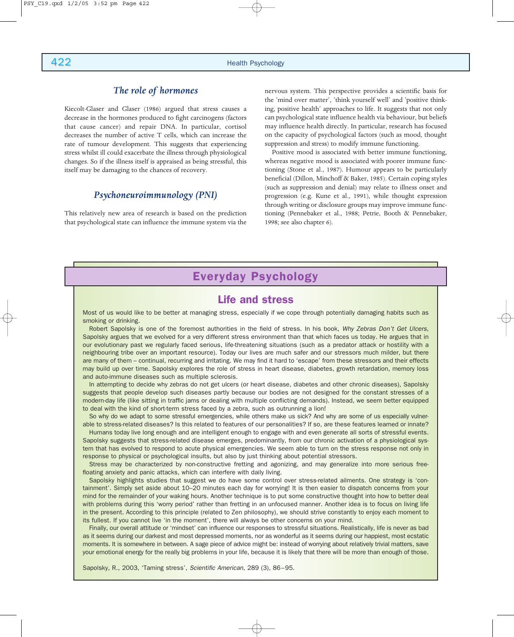## *The role of hormones*

Kiecolt-Glaser and Glaser (1986) argued that stress causes a decrease in the hormones produced to fight carcinogens (factors that cause cancer) and repair DNA. In particular, cortisol decreases the number of active T cells, which can increase the rate of tumour development. This suggests that experiencing stress whilst ill could exacerbate the illness through physiological changes. So if the illness itself is appraised as being stressful, this itself may be damaging to the chances of recovery.

## *Psychoneuroimmunology (PNI)*

This relatively new area of research is based on the prediction that psychological state can influence the immune system via the nervous system. This perspective provides a scientific basis for the 'mind over matter', 'think yourself well' and 'positive thinking, positive health' approaches to life. It suggests that not only can psychological state influence health via behaviour, but beliefs may influence health directly. In particular, research has focused on the capacity of psychological factors (such as mood, thought suppression and stress) to modify immune functioning.

Positive mood is associated with better immune functioning, whereas negative mood is associated with poorer immune functioning (Stone et al., 1987). Humour appears to be particularly beneficial (Dillon, Minchoff & Baker, 1985). Certain coping styles (such as suppression and denial) may relate to illness onset and progression (e.g. Kune et al., 1991), while thought expression through writing or disclosure groups may improve immune functioning (Pennebaker et al., 1988; Petrie, Booth & Pennebaker, 1998; see also chapter 6).

## **Everyday Psychology**

## Life and stress

Most of us would like to be better at managing stress, especially if we cope through potentially damaging habits such as smoking or drinking.

Robert Sapolsky is one of the foremost authorities in the field of stress. In his book, *Why Zebras Don't Get Ulcers*, Sapolsky argues that we evolved for a very different stress environment than that which faces us today. He argues that in our evolutionary past we regularly faced serious, life-threatening situations (such as a predator attack or hostility with a neighbouring tribe over an important resource). Today our lives are much safer and our stressors much milder, but there are many of them – continual, recurring and irritating. We may find it hard to 'escape' from these stressors and their effects may build up over time. Sapolsky explores the role of stress in heart disease, diabetes, growth retardation, memory loss and auto-immune diseases such as multiple sclerosis.

In attempting to decide why zebras do not get ulcers (or heart disease, diabetes and other chronic diseases), Sapolsky suggests that people develop such diseases partly because our bodies are not designed for the constant stresses of a modern-day life (like sitting in traffic jams or dealing with multiple conflicting demands). Instead, we seem better equipped to deal with the kind of short-term stress faced by a zebra, such as outrunning a lion!

So why do we adapt to some stressful emergencies, while others make us sick? And why are some of us especially vulnerable to stress-related diseases? Is this related to features of our personalities? If so, are these features learned or innate?

Humans today live long enough and are intelligent enough to engage with and even generate all sorts of stressful events. Sapolsky suggests that stress-related disease emerges, predominantly, from our chronic activation of a physiological system that has evolved to respond to acute physical emergencies. We seem able to turn on the stress response not only in response to physical or psychological insults, but also by just thinking about potential stressors.

Stress may be characterized by non-constructive fretting and agonizing, and may generalize into more serious freefloating anxiety and panic attacks, which can interfere with daily living.

Sapolsky highlights studies that suggest we do have some control over stress-related ailments. One strategy is 'containment'. Simply set aside about 10–20 minutes each day for worrying! It is then easier to dispatch concerns from your mind for the remainder of your waking hours. Another technique is to put some constructive thought into how to better deal with problems during this 'worry period' rather than fretting in an unfocused manner. Another idea is to focus on living life in the present. According to this principle (related to Zen philosophy), we should strive constantly to enjoy each moment to its fullest. If you cannot live 'in the moment', there will always be other concerns on your mind.

Finally, our overall attitude or 'mindset' can influence our responses to stressful situations. Realistically, life is never as bad as it seems during our darkest and most depressed moments, nor as wonderful as it seems during our happiest, most ecstatic moments. It is somewhere in between. A sage piece of advice might be: instead of worrying about relatively trivial matters, save your emotional energy for the really big problems in your life, because it is likely that there will be more than enough of those.

Sapolsky, R., 2003, 'Taming stress', *Scientific American*, 289 (3), 86–95.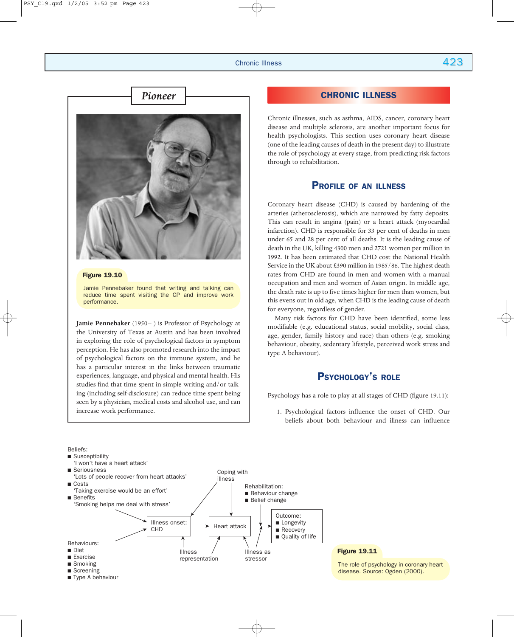

Jamie Pennebaker found that writing and talking can reduce time spent visiting the GP and improve work performance.

**Jamie Pennebaker** (1950– ) is Professor of Psychology at the University of Texas at Austin and has been involved in exploring the role of psychological factors in symptom perception. He has also promoted research into the impact of psychological factors on the immune system, and he has a particular interest in the links between traumatic experiences, language, and physical and mental health. His studies find that time spent in simple writing and/or talking (including self-disclosure) can reduce time spent being seen by a physician, medical costs and alcohol use, and can increase work performance.

Chronic illnesses, such as asthma, AIDS, cancer, coronary heart disease and multiple sclerosis, are another important focus for health psychologists. This section uses coronary heart disease (one of the leading causes of death in the present day) to illustrate the role of psychology at every stage, from predicting risk factors through to rehabilitation.

## PROFILE OF AN ILLNESS

Coronary heart disease (CHD) is caused by hardening of the arteries (atherosclerosis), which are narrowed by fatty deposits. This can result in angina (pain) or a heart attack (myocardial infarction). CHD is responsible for 33 per cent of deaths in men under 65 and 28 per cent of all deaths. It is the leading cause of death in the UK, killing 4300 men and 2721 women per million in 1992. It has been estimated that CHD cost the National Health Service in the UK about £390 million in 1985/86. The highest death rates from CHD are found in men and women with a manual occupation and men and women of Asian origin. In middle age, the death rate is up to five times higher for men than women, but this evens out in old age, when CHD is the leading cause of death for everyone, regardless of gender.

Many risk factors for CHD have been identified, some less modifiable (e.g. educational status, social mobility, social class, age, gender, family history and race) than others (e.g. smoking behaviour, obesity, sedentary lifestyle, perceived work stress and type A behaviour).

## PSYCHOLOGY'S ROLE

Psychology has a role to play at all stages of CHD (figure 19.11):

1. Psychological factors influence the onset of CHD. Our beliefs about both behaviour and illness can influence



## Figure 19.11

The role of psychology in coronary heart disease. Source: Ogden (2000).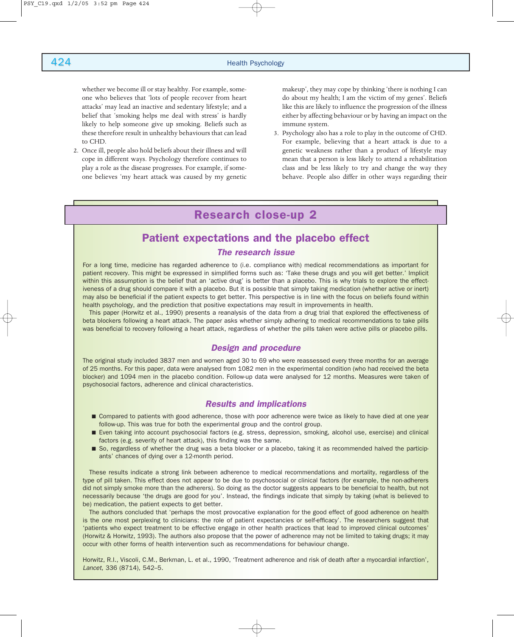whether we become ill or stay healthy. For example, someone who believes that 'lots of people recover from heart attacks' may lead an inactive and sedentary lifestyle; and a belief that 'smoking helps me deal with stress' is hardly likely to help someone give up smoking. Beliefs such as these therefore result in unhealthy behaviours that can lead to CHD.

2. Once ill, people also hold beliefs about their illness and will cope in different ways. Psychology therefore continues to play a role as the disease progresses. For example, if someone believes 'my heart attack was caused by my genetic makeup', they may cope by thinking 'there is nothing I can do about my health; I am the victim of my genes'. Beliefs like this are likely to influence the progression of the illness either by affecting behaviour or by having an impact on the immune system.

3. Psychology also has a role to play in the outcome of CHD. For example, believing that a heart attack is due to a genetic weakness rather than a product of lifestyle may mean that a person is less likely to attend a rehabilitation class and be less likely to try and change the way they behave. People also differ in other ways regarding their

## **Research close-up 2**

## Patient expectations and the placebo effect *The research issue*

For a long time, medicine has regarded adherence to (i.e. compliance with) medical recommendations as important for patient recovery. This might be expressed in simplified forms such as: 'Take these drugs and you will get better.' Implicit within this assumption is the belief that an 'active drug' is better than a placebo. This is why trials to explore the effectiveness of a drug should compare it with a placebo. But it is possible that simply taking medication (whether active or inert) may also be beneficial if the patient expects to get better. This perspective is in line with the focus on beliefs found within health psychology, and the prediction that positive expectations may result in improvements in health.

This paper (Horwitz et al., 1990) presents a reanalysis of the data from a drug trial that explored the effectiveness of beta blockers following a heart attack. The paper asks whether simply adhering to medical recommendations to take pills was beneficial to recovery following a heart attack, regardless of whether the pills taken were active pills or placebo pills.

## *Design and procedure*

The original study included 3837 men and women aged 30 to 69 who were reassessed every three months for an average of 25 months. For this paper, data were analysed from 1082 men in the experimental condition (who had received the beta blocker) and 1094 men in the placebo condition. Follow-up data were analysed for 12 months. Measures were taken of psychosocial factors, adherence and clinical characteristics.

## *Results and implications*

- Compared to patients with good adherence, those with poor adherence were twice as likely to have died at one year follow-up. This was true for both the experimental group and the control group.
- Even taking into account psychosocial factors (e.g. stress, depression, smoking, alcohol use, exercise) and clinical factors (e.g. severity of heart attack), this finding was the same.
- So, regardless of whether the drug was a beta blocker or a placebo, taking it as recommended halved the participants' chances of dying over a 12-month period.

These results indicate a strong link between adherence to medical recommendations and mortality, regardless of the type of pill taken. This effect does not appear to be due to psychosocial or clinical factors (for example, the non-adherers did not simply smoke more than the adherers). So doing as the doctor suggests appears to be beneficial to health, but not necessarily because 'the drugs are good for you'. Instead, the findings indicate that simply by taking (what is believed to be) medication, the patient expects to get better.

The authors concluded that 'perhaps the most provocative explanation for the good effect of good adherence on health is the one most perplexing to clinicians: the role of patient expectancies or self-efficacy'. The researchers suggest that 'patients who expect treatment to be effective engage in other health practices that lead to improved clinical outcomes' (Horwitz & Horwitz, 1993). The authors also propose that the power of adherence may not be limited to taking drugs; it may occur with other forms of health intervention such as recommendations for behaviour change.

Horwitz, R.I., Viscoli, C.M., Berkman, L. et al., 1990, 'Treatment adherence and risk of death after a myocardial infarction', *Lancet*, 336 (8714), 542–5.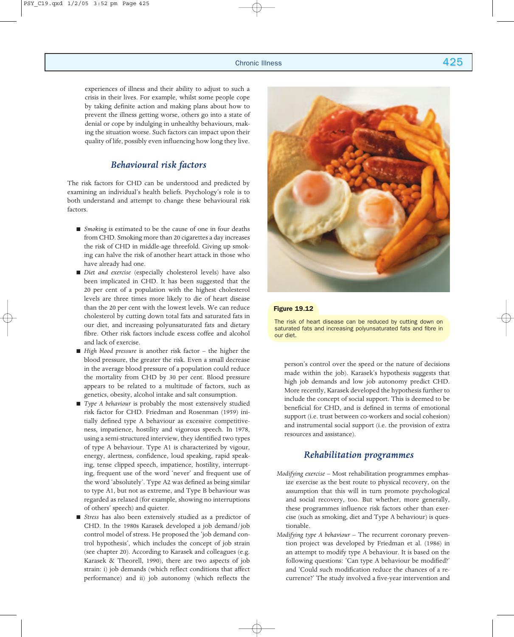experiences of illness and their ability to adjust to such a crisis in their lives. For example, whilst some people cope by taking definite action and making plans about how to prevent the illness getting worse, others go into a state of denial or cope by indulging in unhealthy behaviours, making the situation worse. Such factors can impact upon their quality of life, possibly even influencing how long they live.

## *Behavioural risk factors*

The risk factors for CHD can be understood and predicted by examining an individual's health beliefs. Psychology's role is to both understand and attempt to change these behavioural risk factors.

- *Smoking* is estimated to be the cause of one in four deaths from CHD. Smoking more than 20 cigarettes a day increases the risk of CHD in middle-age threefold. Giving up smoking can halve the risk of another heart attack in those who have already had one.
- n *Diet and exercise* (especially cholesterol levels) have also been implicated in CHD. It has been suggested that the 20 per cent of a population with the highest cholesterol levels are three times more likely to die of heart disease than the 20 per cent with the lowest levels. We can reduce cholesterol by cutting down total fats and saturated fats in our diet, and increasing polyunsaturated fats and dietary fibre. Other risk factors include excess coffee and alcohol and lack of exercise.
- *High blood pressure* is another risk factor the higher the blood pressure, the greater the risk. Even a small decrease in the average blood pressure of a population could reduce the mortality from CHD by 30 per cent. Blood pressure appears to be related to a multitude of factors, such as genetics, obesity, alcohol intake and salt consumption.
- *Type A behaviour* is probably the most extensively studied risk factor for CHD. Friedman and Rosenman (1959) initially defined type A behaviour as excessive competitiveness, impatience, hostility and vigorous speech. In 1978, using a semi-structured interview, they identified two types of type A behaviour. Type A1 is characterized by vigour, energy, alertness, confidence, loud speaking, rapid speaking, tense clipped speech, impatience, hostility, interrupting, frequent use of the word 'never' and frequent use of the word 'absolutely'. Type A2 was defined as being similar to type A1, but not as extreme, and Type B behaviour was regarded as relaxed (for example, showing no interruptions of others' speech) and quieter.
- n *Stress* has also been extensively studied as a predictor of CHD. In the 1980s Karasek developed a job demand/job control model of stress. He proposed the 'job demand control hypothesis', which includes the concept of job strain (see chapter 20). According to Karasek and colleagues (e.g. Karasek & Theorell, 1990), there are two aspects of job strain: i) job demands (which reflect conditions that affect performance) and ii) job autonomy (which reflects the



### Figure 19.12

The risk of heart disease can be reduced by cutting down on saturated fats and increasing polyunsaturated fats and fibre in our diet.

person's control over the speed or the nature of decisions made within the job). Karasek's hypothesis suggests that high job demands and low job autonomy predict CHD. More recently, Karasek developed the hypothesis further to include the concept of social support. This is deemed to be beneficial for CHD, and is defined in terms of emotional support (i.e. trust between co-workers and social cohesion) and instrumental social support (i.e. the provision of extra resources and assistance).

## *Rehabilitation programmes*

- *Modifying exercise* Most rehabilitation programmes emphasize exercise as the best route to physical recovery, on the assumption that this will in turn promote psychological and social recovery, too. But whether, more generally, these programmes influence risk factors other than exercise (such as smoking, diet and Type A behaviour) is questionable.
- *Modifying type A behaviour* The recurrent coronary prevention project was developed by Friedman et al. (1986) in an attempt to modify type A behaviour. It is based on the following questions: 'Can type A behaviour be modified?' and 'Could such modification reduce the chances of a recurrence?' The study involved a five-year intervention and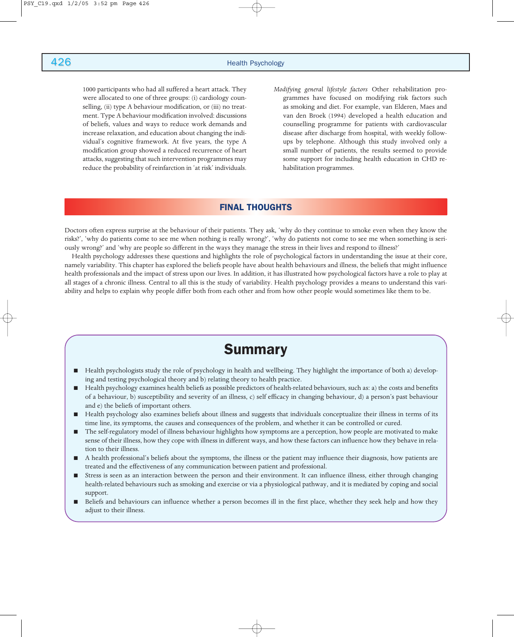1000 participants who had all suffered a heart attack. They were allocated to one of three groups: (i) cardiology counselling, (ii) type A behaviour modification, or (iii) no treatment. Type A behaviour modification involved: discussions of beliefs, values and ways to reduce work demands and increase relaxation, and education about changing the individual's cognitive framework. At five years, the type A modification group showed a reduced recurrence of heart attacks, suggesting that such intervention programmes may reduce the probability of reinfarction in 'at risk' individuals.

*Modifying general lifestyle factors* Other rehabilitation programmes have focused on modifying risk factors such as smoking and diet. For example, van Elderen, Maes and van den Broek (1994) developed a health education and counselling programme for patients with cardiovascular disease after discharge from hospital, with weekly followups by telephone. Although this study involved only a small number of patients, the results seemed to provide some support for including health education in CHD rehabilitation programmes.

## FINAL THOUGHTS

Doctors often express surprise at the behaviour of their patients. They ask, 'why do they continue to smoke even when they know the risks?', 'why do patients come to see me when nothing is really wrong?', 'why do patients not come to see me when something is seriously wrong?' and 'why are people so different in the ways they manage the stress in their lives and respond to illness?'

Health psychology addresses these questions and highlights the role of psychological factors in understanding the issue at their core, namely variability. This chapter has explored the beliefs people have about health behaviours and illness, the beliefs that might influence health professionals and the impact of stress upon our lives. In addition, it has illustrated how psychological factors have a role to play at all stages of a chronic illness. Central to all this is the study of variability. Health psychology provides a means to understand this variability and helps to explain why people differ both from each other and from how other people would sometimes like them to be.

## Summary

- n Health psychologists study the role of psychology in health and wellbeing. They highlight the importance of both a) developing and testing psychological theory and b) relating theory to health practice.
- n Health psychology examines health beliefs as possible predictors of health-related behaviours, such as: a) the costs and benefits of a behaviour, b) susceptibility and severity of an illness, c) self efficacy in changing behaviour, d) a person's past behaviour and e) the beliefs of important others.
- n Health psychology also examines beliefs about illness and suggests that individuals conceptualize their illness in terms of its time line, its symptoms, the causes and consequences of the problem, and whether it can be controlled or cured.
- n The self-regulatory model of illness behaviour highlights how symptoms are a perception, how people are motivated to make sense of their illness, how they cope with illness in different ways, and how these factors can influence how they behave in relation to their illness.
- n A health professional's beliefs about the symptoms, the illness or the patient may influence their diagnosis, how patients are treated and the effectiveness of any communication between patient and professional.
- n Stress is seen as an interaction between the person and their environment. It can influence illness, either through changing health-related behaviours such as smoking and exercise or via a physiological pathway, and it is mediated by coping and social support.
- n Beliefs and behaviours can influence whether a person becomes ill in the first place, whether they seek help and how they adjust to their illness.